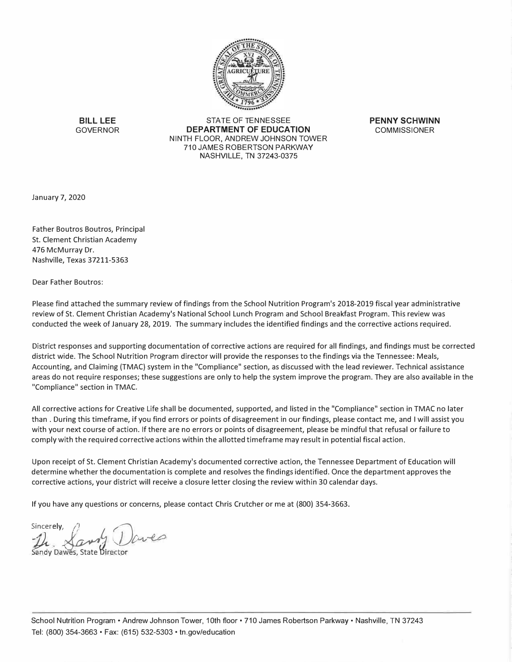

**BILL LEE**  GOVERNOR

STATE OF TENNESSEE **DEPARTMENT OF EDUCATION**  NINTH FLOOR, ANDREW JOHNSON TOWER 710 JAMES ROBERTSON PARKWAY NASHVILLE, TN 37243-0375

**PENNY SCHWINN COMMISSIONER** 

January 7, 2020

Father Boutros Boutros, Principal St. Clement Christian Academy 476 McMurray Dr. Nashville, Texas 37211-5363

Dear Father Boutros:

Please find attached the summary review of findings from the School Nutrition Program's 2018-2019 fiscal year administrative review of St. Clement Christian Academy's National School Lunch Program and School Breakfast Program. This review was conducted the week of January 28, 2019. The summary includes the identified findings and the corrective actions required.

District responses and supporting documentation of corrective actions are required for all findings, and findings must be corrected district wide. The School Nutrition Program director will provide the responses to the findings via the Tennessee: Meals, Accounting, and Claiming (TMAC) system in the "Compliance" section, as discussed with the lead reviewer. Technical assistance areas do not require responses; these suggestions are only to help the system improve the program. They are also available in the "Compliance" section in TMAC.

All corrective actions for Creative Life shall be documented, supported, and listed in the "Compliance" section in TMAC no later than . During this timeframe, if you find errors or points of disagreement in our findings, please contact me, and I will assist you with your next course of action. If there are no errors or points of disagreement, please be mindful that refusal or failure to comply with the required corrective actions within the allotted timeframe may result in potential fiscal action.

Upon receipt of St. Clement Christian Academy's documented corrective action, the Tennessee Department of Education will determine whether the documentation is complete and resolves the findings identified. Once the department approves the corrective actions, your district will receive a closure letter closing the review within 30 calendar days.

If you have any questions or concerns, please contact Chris Crutcher or me at (800) 354-3663.

**il** Sandy **Sincerely** Dawes, y, Lawy State �irector **OJ�**